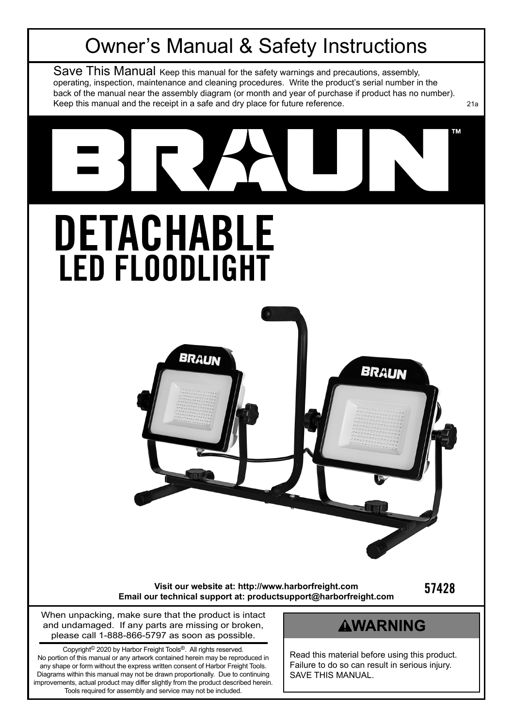

No portion of this manual or any artwork contained herein may be reproduced in any shape or form without the express written consent of Harbor Freight Tools. Diagrams within this manual may not be drawn proportionally. Due to continuing improvements, actual product may differ slightly from the product described herein. Tools required for assembly and service may not be included.

Read this material before using this product. Failure to do so can result in serious injury. SAVE THIS MANUAL.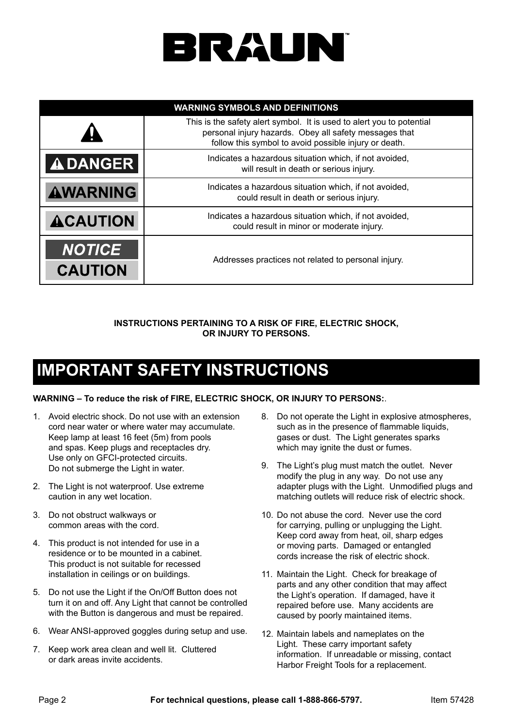# BRAUN

| <b>WARNING SYMBOLS AND DEFINITIONS</b> |                                                                                                                                                                                          |  |  |  |
|----------------------------------------|------------------------------------------------------------------------------------------------------------------------------------------------------------------------------------------|--|--|--|
|                                        | This is the safety alert symbol. It is used to alert you to potential<br>personal injury hazards. Obey all safety messages that<br>follow this symbol to avoid possible injury or death. |  |  |  |
| <b>ADANGER</b>                         | Indicates a hazardous situation which, if not avoided,<br>will result in death or serious injury.                                                                                        |  |  |  |
| <b>AWARNING</b>                        | Indicates a hazardous situation which, if not avoided,<br>could result in death or serious injury.                                                                                       |  |  |  |
| <b>ACAUTION</b>                        | Indicates a hazardous situation which, if not avoided,<br>could result in minor or moderate injury.                                                                                      |  |  |  |
| <b>NOTICE</b><br><b>CAUTION</b>        | Addresses practices not related to personal injury.                                                                                                                                      |  |  |  |

**INSTRUCTIONS PERTAINING TO A RISK OF FIRE, ELECTRIC SHOCK, OR INJURY TO PERSONS.**

## **IMPORTANT SAFETY INSTRUCTIONS**

#### **WARNING – To reduce the risk of FIRE, ELECTRIC SHOCK, OR INJURY TO PERSONS:**.

- 1. Avoid electric shock. Do not use with an extension cord near water or where water may accumulate. Keep lamp at least 16 feet (5m) from pools and spas. Keep plugs and receptacles dry. Use only on GFCI-protected circuits. Do not submerge the Light in water.
- 2. The Light is not waterproof. Use extreme caution in any wet location.
- 3. Do not obstruct walkways or common areas with the cord.
- 4. This product is not intended for use in a residence or to be mounted in a cabinet. This product is not suitable for recessed installation in ceilings or on buildings.
- 5. Do not use the Light if the On/Off Button does not turn it on and off. Any Light that cannot be controlled with the Button is dangerous and must be repaired.
- 6. Wear ANSI-approved goggles during setup and use.
- 7. Keep work area clean and well lit. Cluttered or dark areas invite accidents.
- 8. Do not operate the Light in explosive atmospheres, such as in the presence of flammable liquids. gases or dust. The Light generates sparks which may ignite the dust or fumes.
- 9. The Light's plug must match the outlet. Never modify the plug in any way. Do not use any adapter plugs with the Light. Unmodified plugs and matching outlets will reduce risk of electric shock.
- 10. Do not abuse the cord. Never use the cord for carrying, pulling or unplugging the Light. Keep cord away from heat, oil, sharp edges or moving parts. Damaged or entangled cords increase the risk of electric shock.
- 11. Maintain the Light. Check for breakage of parts and any other condition that may affect the Light's operation. If damaged, have it repaired before use. Many accidents are caused by poorly maintained items.
- 12. Maintain labels and nameplates on the Light. These carry important safety information. If unreadable or missing, contact Harbor Freight Tools for a replacement.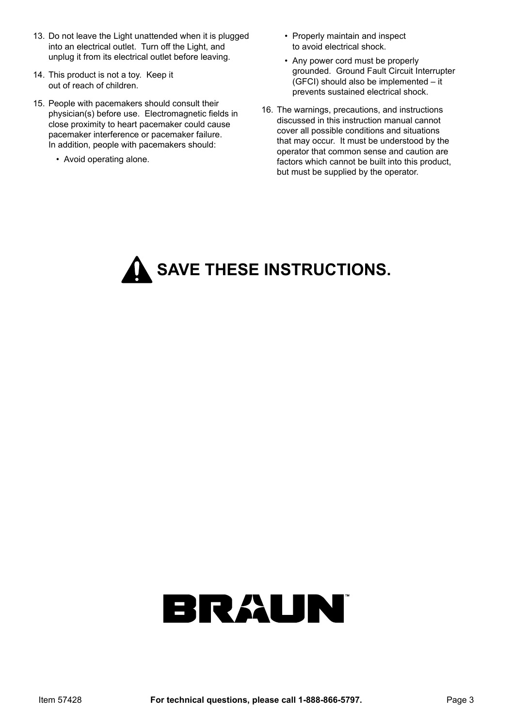- 13. Do not leave the Light unattended when it is plugged into an electrical outlet. Turn off the Light, and unplug it from its electrical outlet before leaving.
- 14. This product is not a toy. Keep it out of reach of children.
- 15. People with pacemakers should consult their physician(s) before use. Electromagnetic fields in close proximity to heart pacemaker could cause pacemaker interference or pacemaker failure. In addition, people with pacemakers should:
	- Avoid operating alone.
- Properly maintain and inspect to avoid electrical shock.
- Any power cord must be properly grounded. Ground Fault Circuit Interrupter (GFCI) should also be implemented – it prevents sustained electrical shock.
- 16. The warnings, precautions, and instructions discussed in this instruction manual cannot cover all possible conditions and situations that may occur. It must be understood by the operator that common sense and caution are factors which cannot be built into this product, but must be supplied by the operator.

**A** SAVE THESE INSTRUCTIONS.

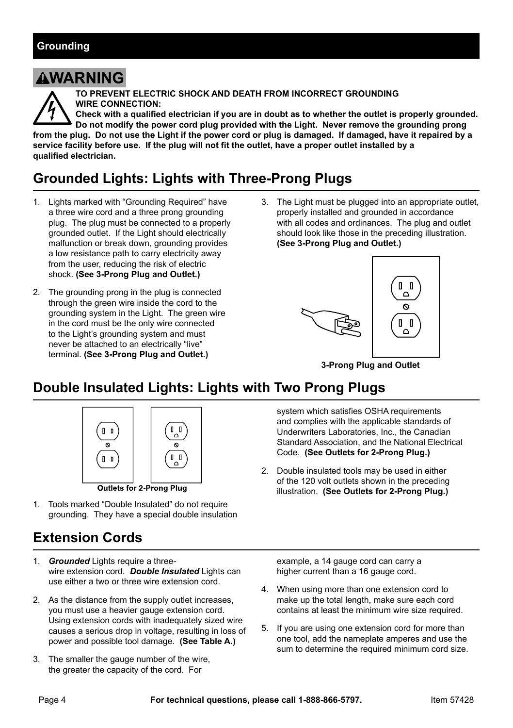## **AWARNING**

**TO PREVENT ELECTRIC SHOCK AND DEATH FROM INCORRECT GROUNDING WIRE CONNECTION:**

**Check with a qualified electrician if you are in doubt as to whether the outlet is properly grounded. Do not modify the power cord plug provided with the Light. Never remove the grounding prong from the plug. Do not use the Light if the power cord or plug is damaged. If damaged, have it repaired by a service facility before use. If the plug will not fit the outlet, have a proper outlet installed by a qualified electrician.**

## **Grounded Lights: Lights with Three-Prong Plugs**

- 1. Lights marked with "Grounding Required" have a three wire cord and a three prong grounding plug. The plug must be connected to a properly grounded outlet. If the Light should electrically malfunction or break down, grounding provides a low resistance path to carry electricity away from the user, reducing the risk of electric shock. **(See 3-Prong Plug and Outlet.)**
- 2. The grounding prong in the plug is connected through the green wire inside the cord to the grounding system in the Light. The green wire in the cord must be the only wire connected to the Light's grounding system and must never be attached to an electrically "live" terminal. **(See 3-Prong Plug and Outlet.)**
- 3. The Light must be plugged into an appropriate outlet. properly installed and grounded in accordance with all codes and ordinances. The plug and outlet should look like those in the preceding illustration. **(See 3-Prong Plug and Outlet.)**



**3-Prong Plug and Outlet**

## **Double Insulated Lights: Lights with Two Prong Plugs**



**Outlets for 2-Prong Plug** 

1. Tools marked "Double Insulated" do not require grounding. They have a special double insulation

## **Extension Cords**

- 1. *Grounded* Lights require a threewire extension cord. *Double Insulated* Lights can use either a two or three wire extension cord.
- 2. As the distance from the supply outlet increases, you must use a heavier gauge extension cord. Using extension cords with inadequately sized wire causes a serious drop in voltage, resulting in loss of power and possible tool damage. **(See Table A.)**
- 3. The smaller the gauge number of the wire, the greater the capacity of the cord. For

system which satisfies OSHA requirements and complies with the applicable standards of Underwriters Laboratories, Inc., the Canadian Standard Association, and the National Electrical Code. **(See Outlets for 2-Prong Plug.)**

2. Double insulated tools may be used in either of the 120 volt outlets shown in the preceding illustration. **(See Outlets for 2-Prong Plug.)**

example, a 14 gauge cord can carry a higher current than a 16 gauge cord.

- 4. When using more than one extension cord to make up the total length, make sure each cord contains at least the minimum wire size required.
- 5. If you are using one extension cord for more than one tool, add the nameplate amperes and use the sum to determine the required minimum cord size.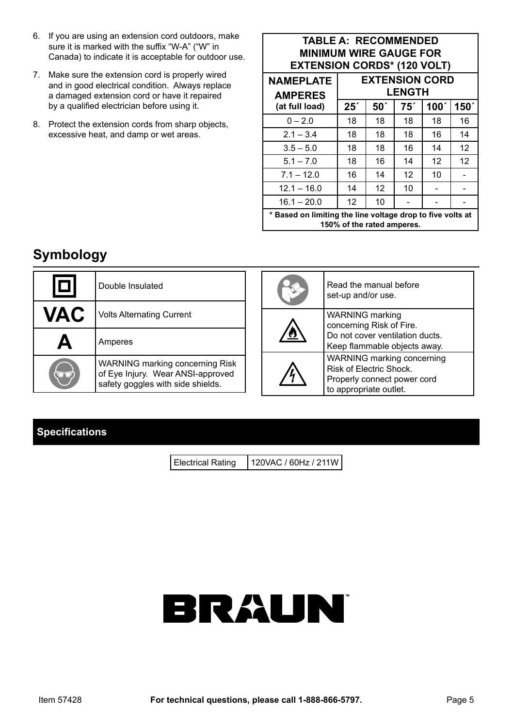- 6. If you are using an extension cord outdoors, make sure it is marked with the suffix "W-A" ("W" in Canada) to indicate it is acceptable for outdoor use.
- 7. Make sure the extension cord is properly wired and in good electrical condition. Always replace a damaged extension cord or have it repaired by a qualified electrician before using it.
- 8. Protect the extension cords from sharp objects, excessive heat, and damp or wet areas.

#### **TABLE A: RECOMMENDED MINIMUM WIRE GAUGE FOR EXTENSION CORDS\* (120 VOLT)**

| <b>NAMEPLATE</b><br><b>AMPERES</b>                                                       | <b>EXTENSION CORD</b><br><b>LENGTH</b> |                 |     |      |                  |  |
|------------------------------------------------------------------------------------------|----------------------------------------|-----------------|-----|------|------------------|--|
| (at full load)                                                                           | 25 <sup>′</sup>                        | 50 <sup>′</sup> | 75′ | 100' | 150 <sup>7</sup> |  |
| $0 - 2.0$                                                                                | 18                                     | 18              | 18  | 18   | 16               |  |
| $2.1 - 3.4$                                                                              | 18                                     | 18              | 18  | 16   | 14               |  |
| $3.5 - 5.0$                                                                              | 18                                     | 18              | 16  | 14   | 12               |  |
| $5.1 - 7.0$                                                                              | 18                                     | 16              | 14  | 12   | 12               |  |
| $7.1 - 12.0$                                                                             | 16                                     | 14              | 12  | 10   |                  |  |
| $12.1 - 16.0$                                                                            | 14                                     | 12              | 10  |      |                  |  |
| $16.1 - 20.0$                                                                            | 12                                     | 10              |     |      |                  |  |
| * Based on limiting the line voltage drop to five volts at<br>150% of the rated amperes. |                                        |                 |     |      |                  |  |

## **Symbology**

|            | Double Insulated                                                                                          |  |            | Read the manual before<br>set-up and/or use.                                                                   |
|------------|-----------------------------------------------------------------------------------------------------------|--|------------|----------------------------------------------------------------------------------------------------------------|
| <b>VAC</b> | <b>Volts Alternating Current</b>                                                                          |  |            | <b>WARNING</b> marking<br>concerning Risk of Fire.                                                             |
|            | Amperes                                                                                                   |  | <u>/0`</u> | Do not cover ventilation ducts.<br>Keep flammable objects away.                                                |
| <b>QUE</b> | WARNING marking concerning Risk<br>of Eye Injury. Wear ANSI-approved<br>safety goggles with side shields. |  |            | WARNING marking concerning<br>Risk of Electric Shock.<br>Properly connect power cord<br>to appropriate outlet. |

### **Specifications**

Electrical Rating | 120VAC / 60Hz / 211W

# BRAUN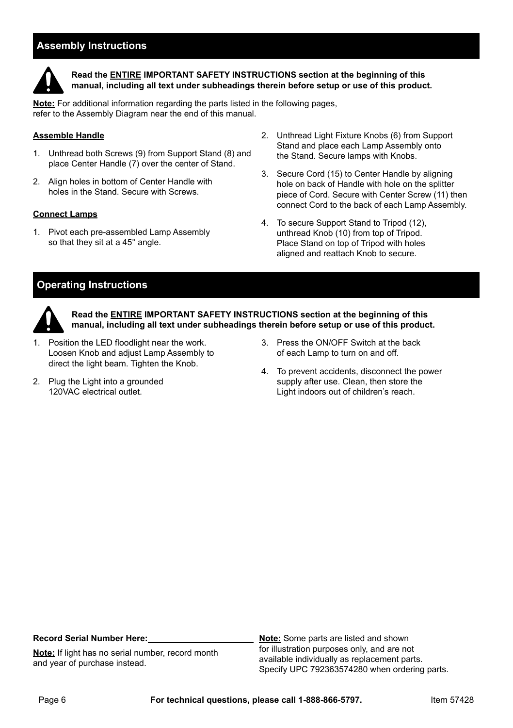#### **Assembly Instructions**



**Read the ENTIRE IMPORTANT SAFETY INSTRUCTIONS section at the beginning of this manual, including all text under subheadings therein before setup or use of this product.**

**Note:** For additional information regarding the parts listed in the following pages, refer to the Assembly Diagram near the end of this manual.

#### **Assemble Handle**

- 1. Unthread both Screws (9) from Support Stand (8) and place Center Handle (7) over the center of Stand.
- 2. Align holes in bottom of Center Handle with holes in the Stand. Secure with Screws.

#### **Connect Lamps**

1. Pivot each pre-assembled Lamp Assembly so that they sit at a 45° angle.

- 2. Unthread Light Fixture Knobs (6) from Support Stand and place each Lamp Assembly onto the Stand. Secure lamps with Knobs.
- 3. Secure Cord (15) to Center Handle by aligning hole on back of Handle with hole on the splitter piece of Cord. Secure with Center Screw (11) then connect Cord to the back of each Lamp Assembly.
- 4. To secure Support Stand to Tripod (12), unthread Knob (10) from top of Tripod. Place Stand on top of Tripod with holes aligned and reattach Knob to secure.

#### **Operating Instructions**



**Read the ENTIRE IMPORTANT SAFETY INSTRUCTIONS section at the beginning of this manual, including all text under subheadings therein before setup or use of this product.**

- 1. Position the LED floodlight near the work. Loosen Knob and adjust Lamp Assembly to direct the light beam. Tighten the Knob.
- 2. Plug the Light into a grounded 120VAC electrical outlet.
- 3. Press the ON/OFF Switch at the back of each Lamp to turn on and off.
- 4. To prevent accidents, disconnect the power supply after use. Clean, then store the Light indoors out of children's reach.

#### **Record Serial Number Here:**

**Note:** If light has no serial number, record month and year of purchase instead.

**Note:** Some parts are listed and shown for illustration purposes only, and are not available individually as replacement parts. Specify UPC 792363574280 when ordering parts.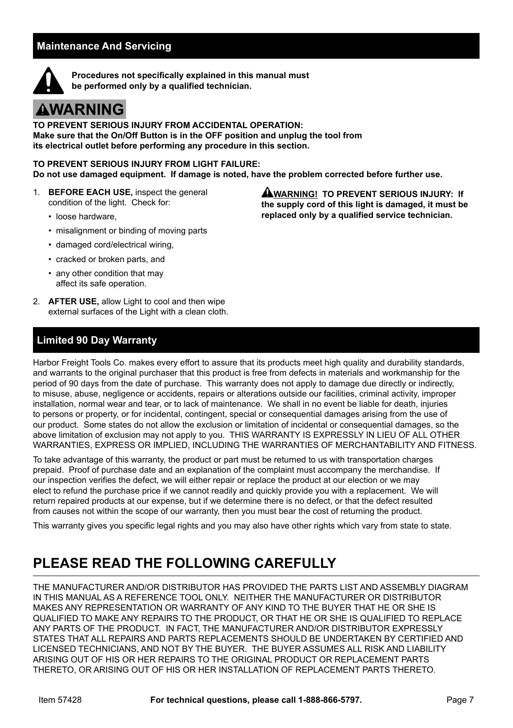#### **Maintenance And Servicing**



**Procedures not specifically explained in this manual must be performed only by a qualified technician.**

## **AWARNING**

**TO PREVENT SERIOUS INJURY FROM ACCIDENTAL OPERATION: Make sure that the On/Off Button is in the OFF position and unplug the tool from its electrical outlet before performing any procedure in this section.**

**TO PREVENT SERIOUS INJURY FROM LIGHT FAILURE: Do not use damaged equipment. If damage is noted, have the problem corrected before further use.**

- 1. **BEFORE EACH USE,** inspect the general condition of the light. Check for:
	- loose hardware,
	- misalignment or binding of moving parts
	- damaged cord/electrical wiring,
	- cracked or broken parts, and
	- any other condition that may affect its safe operation.
- 2. **AFTER USE,** allow Light to cool and then wipe external surfaces of the Light with a clean cloth.

#### **Limited 90 Day Warranty**

Harbor Freight Tools Co. makes every effort to assure that its products meet high quality and durability standards, and warrants to the original purchaser that this product is free from defects in materials and workmanship for the period of 90 days from the date of purchase. This warranty does not apply to damage due directly or indirectly, to misuse, abuse, negligence or accidents, repairs or alterations outside our facilities, criminal activity, improper installation, normal wear and tear, or to lack of maintenance. We shall in no event be liable for death, injuries

to persons or property, or for incidental, contingent, special or consequential damages arising from the use of our product. Some states do not allow the exclusion or limitation of incidental or consequential damages, so the above limitation of exclusion may not apply to you. THIS WARRANTY IS EXPRESSLY IN LIEU OF ALL OTHER WARRANTIES, EXPRESS OR IMPLIED, INCLUDING THE WARRANTIES OF MERCHANTABILITY AND FITNESS.

To take advantage of this warranty, the product or part must be returned to us with transportation charges prepaid. Proof of purchase date and an explanation of the complaint must accompany the merchandise. If our inspection verifies the defect, we will either repair or replace the product at our election or we may elect to refund the purchase price if we cannot readily and quickly provide you with a replacement. We will return repaired products at our expense, but if we determine there is no defect, or that the defect resulted from causes not within the scope of our warranty, then you must bear the cost of returning the product.

This warranty gives you specific legal rights and you may also have other rights which vary from state to state.

## **PLEASE READ THE FOLLOWING CAREFULLY**

THE MANUFACTURER AND/OR DISTRIBUTOR HAS PROVIDED THE PARTS LIST AND ASSEMBLY DIAGRAM IN THIS MANUAL AS A REFERENCE TOOL ONLY. NEITHER THE MANUFACTURER OR DISTRIBUTOR MAKES ANY REPRESENTATION OR WARRANTY OF ANY KIND TO THE BUYER THAT HE OR SHE IS QUALIFIED TO MAKE ANY REPAIRS TO THE PRODUCT, OR THAT HE OR SHE IS QUALIFIED TO REPLACE ANY PARTS OF THE PRODUCT. IN FACT, THE MANUFACTURER AND/OR DISTRIBUTOR EXPRESSLY STATES THAT ALL REPAIRS AND PARTS REPLACEMENTS SHOULD BE UNDERTAKEN BY CERTIFIED AND LICENSED TECHNICIANS, AND NOT BY THE BUYER. THE BUYER ASSUMES ALL RISK AND LIABILITY ARISING OUT OF HIS OR HER REPAIRS TO THE ORIGINAL PRODUCT OR REPLACEMENT PARTS THERETO, OR ARISING OUT OF HIS OR HER INSTALLATION OF REPLACEMENT PARTS THERETO.

**AWARNING! TO PREVENT SERIOUS INJURY: If the supply cord of this light is damaged, it must be replaced only by a qualified service technician.**